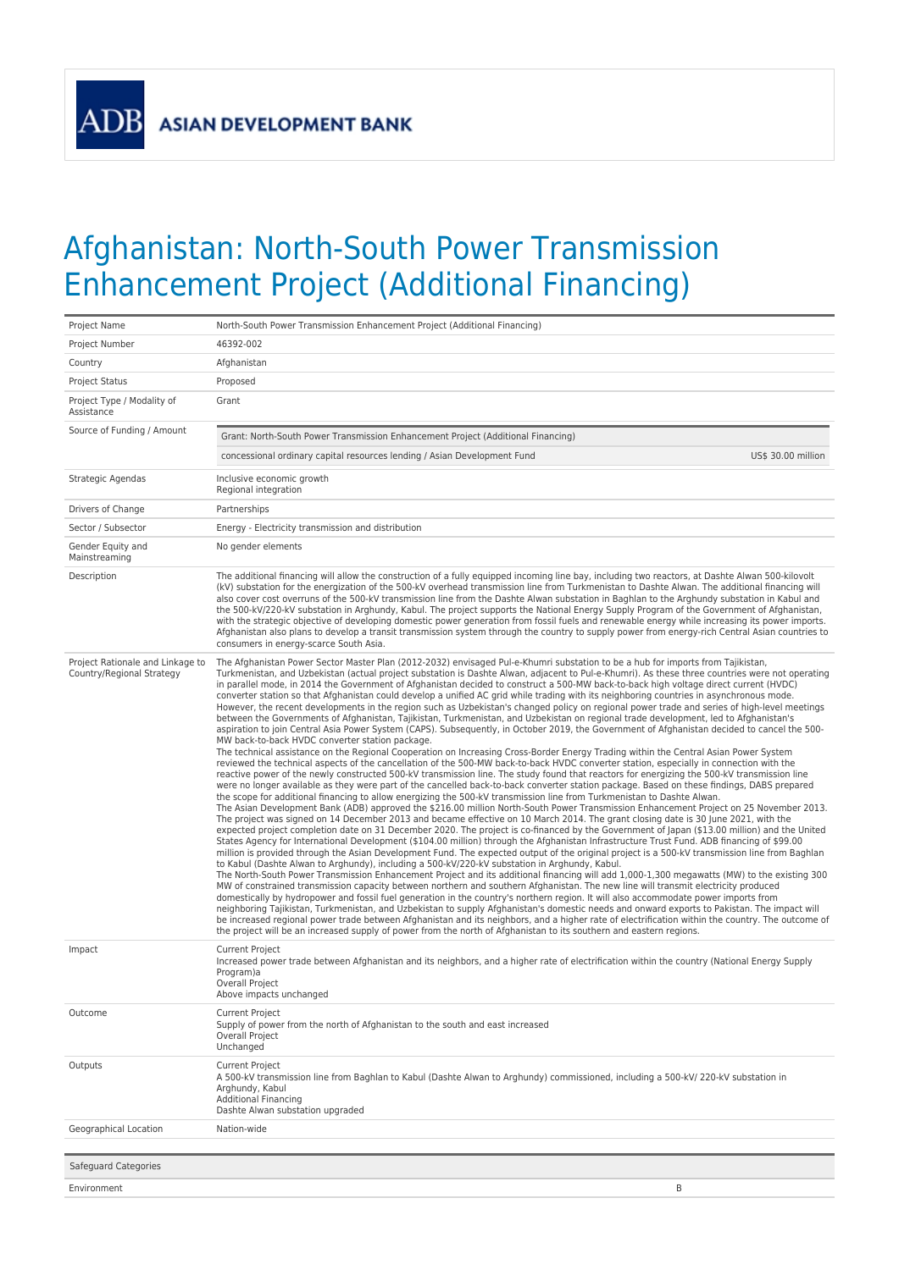**ADB** 

## Afghanistan: North-South Power Transmission Enhancement Project (Additional Financing)

| Project Name                                                  | North-South Power Transmission Enhancement Project (Additional Financing)                                                                                                                                                                                                                                                                                                                                                                                                                                                                                                                                                                                                                                                                                                                                                                                                                                                                                                                                                                                                                                                                                                                                                                                                                                                                                                                                                                                                                                                                                                                                                                                                                                                                                                                                                                                                                                                                                                                                                                                                                                                                                                                                                                                                                                                                                                                                                                                                                                                                                                                                                                                                                                                                                                                                                                                                                                                                                                                                                                                                                                                                                                                                                                                                                                                                                                                                                                                           |
|---------------------------------------------------------------|---------------------------------------------------------------------------------------------------------------------------------------------------------------------------------------------------------------------------------------------------------------------------------------------------------------------------------------------------------------------------------------------------------------------------------------------------------------------------------------------------------------------------------------------------------------------------------------------------------------------------------------------------------------------------------------------------------------------------------------------------------------------------------------------------------------------------------------------------------------------------------------------------------------------------------------------------------------------------------------------------------------------------------------------------------------------------------------------------------------------------------------------------------------------------------------------------------------------------------------------------------------------------------------------------------------------------------------------------------------------------------------------------------------------------------------------------------------------------------------------------------------------------------------------------------------------------------------------------------------------------------------------------------------------------------------------------------------------------------------------------------------------------------------------------------------------------------------------------------------------------------------------------------------------------------------------------------------------------------------------------------------------------------------------------------------------------------------------------------------------------------------------------------------------------------------------------------------------------------------------------------------------------------------------------------------------------------------------------------------------------------------------------------------------------------------------------------------------------------------------------------------------------------------------------------------------------------------------------------------------------------------------------------------------------------------------------------------------------------------------------------------------------------------------------------------------------------------------------------------------------------------------------------------------------------------------------------------------------------------------------------------------------------------------------------------------------------------------------------------------------------------------------------------------------------------------------------------------------------------------------------------------------------------------------------------------------------------------------------------------------------------------------------------------------------------------------------------------|
| Project Number                                                | 46392-002                                                                                                                                                                                                                                                                                                                                                                                                                                                                                                                                                                                                                                                                                                                                                                                                                                                                                                                                                                                                                                                                                                                                                                                                                                                                                                                                                                                                                                                                                                                                                                                                                                                                                                                                                                                                                                                                                                                                                                                                                                                                                                                                                                                                                                                                                                                                                                                                                                                                                                                                                                                                                                                                                                                                                                                                                                                                                                                                                                                                                                                                                                                                                                                                                                                                                                                                                                                                                                                           |
| Country                                                       | Afghanistan                                                                                                                                                                                                                                                                                                                                                                                                                                                                                                                                                                                                                                                                                                                                                                                                                                                                                                                                                                                                                                                                                                                                                                                                                                                                                                                                                                                                                                                                                                                                                                                                                                                                                                                                                                                                                                                                                                                                                                                                                                                                                                                                                                                                                                                                                                                                                                                                                                                                                                                                                                                                                                                                                                                                                                                                                                                                                                                                                                                                                                                                                                                                                                                                                                                                                                                                                                                                                                                         |
| <b>Project Status</b>                                         | Proposed                                                                                                                                                                                                                                                                                                                                                                                                                                                                                                                                                                                                                                                                                                                                                                                                                                                                                                                                                                                                                                                                                                                                                                                                                                                                                                                                                                                                                                                                                                                                                                                                                                                                                                                                                                                                                                                                                                                                                                                                                                                                                                                                                                                                                                                                                                                                                                                                                                                                                                                                                                                                                                                                                                                                                                                                                                                                                                                                                                                                                                                                                                                                                                                                                                                                                                                                                                                                                                                            |
| Project Type / Modality of<br>Assistance                      | Grant                                                                                                                                                                                                                                                                                                                                                                                                                                                                                                                                                                                                                                                                                                                                                                                                                                                                                                                                                                                                                                                                                                                                                                                                                                                                                                                                                                                                                                                                                                                                                                                                                                                                                                                                                                                                                                                                                                                                                                                                                                                                                                                                                                                                                                                                                                                                                                                                                                                                                                                                                                                                                                                                                                                                                                                                                                                                                                                                                                                                                                                                                                                                                                                                                                                                                                                                                                                                                                                               |
| Source of Funding / Amount                                    | Grant: North-South Power Transmission Enhancement Project (Additional Financing)                                                                                                                                                                                                                                                                                                                                                                                                                                                                                                                                                                                                                                                                                                                                                                                                                                                                                                                                                                                                                                                                                                                                                                                                                                                                                                                                                                                                                                                                                                                                                                                                                                                                                                                                                                                                                                                                                                                                                                                                                                                                                                                                                                                                                                                                                                                                                                                                                                                                                                                                                                                                                                                                                                                                                                                                                                                                                                                                                                                                                                                                                                                                                                                                                                                                                                                                                                                    |
|                                                               | concessional ordinary capital resources lending / Asian Development Fund<br>US\$ 30.00 million                                                                                                                                                                                                                                                                                                                                                                                                                                                                                                                                                                                                                                                                                                                                                                                                                                                                                                                                                                                                                                                                                                                                                                                                                                                                                                                                                                                                                                                                                                                                                                                                                                                                                                                                                                                                                                                                                                                                                                                                                                                                                                                                                                                                                                                                                                                                                                                                                                                                                                                                                                                                                                                                                                                                                                                                                                                                                                                                                                                                                                                                                                                                                                                                                                                                                                                                                                      |
| Strategic Agendas                                             | Inclusive economic growth<br>Regional integration                                                                                                                                                                                                                                                                                                                                                                                                                                                                                                                                                                                                                                                                                                                                                                                                                                                                                                                                                                                                                                                                                                                                                                                                                                                                                                                                                                                                                                                                                                                                                                                                                                                                                                                                                                                                                                                                                                                                                                                                                                                                                                                                                                                                                                                                                                                                                                                                                                                                                                                                                                                                                                                                                                                                                                                                                                                                                                                                                                                                                                                                                                                                                                                                                                                                                                                                                                                                                   |
| Drivers of Change                                             | Partnerships                                                                                                                                                                                                                                                                                                                                                                                                                                                                                                                                                                                                                                                                                                                                                                                                                                                                                                                                                                                                                                                                                                                                                                                                                                                                                                                                                                                                                                                                                                                                                                                                                                                                                                                                                                                                                                                                                                                                                                                                                                                                                                                                                                                                                                                                                                                                                                                                                                                                                                                                                                                                                                                                                                                                                                                                                                                                                                                                                                                                                                                                                                                                                                                                                                                                                                                                                                                                                                                        |
| Sector / Subsector                                            | Energy - Electricity transmission and distribution                                                                                                                                                                                                                                                                                                                                                                                                                                                                                                                                                                                                                                                                                                                                                                                                                                                                                                                                                                                                                                                                                                                                                                                                                                                                                                                                                                                                                                                                                                                                                                                                                                                                                                                                                                                                                                                                                                                                                                                                                                                                                                                                                                                                                                                                                                                                                                                                                                                                                                                                                                                                                                                                                                                                                                                                                                                                                                                                                                                                                                                                                                                                                                                                                                                                                                                                                                                                                  |
| Gender Equity and<br>Mainstreaming                            | No gender elements                                                                                                                                                                                                                                                                                                                                                                                                                                                                                                                                                                                                                                                                                                                                                                                                                                                                                                                                                                                                                                                                                                                                                                                                                                                                                                                                                                                                                                                                                                                                                                                                                                                                                                                                                                                                                                                                                                                                                                                                                                                                                                                                                                                                                                                                                                                                                                                                                                                                                                                                                                                                                                                                                                                                                                                                                                                                                                                                                                                                                                                                                                                                                                                                                                                                                                                                                                                                                                                  |
| Description                                                   | The additional financing will allow the construction of a fully equipped incoming line bay, including two reactors, at Dashte Alwan 500-kilovolt<br>(kV) substation for the energization of the 500-kV overhead transmission line from Turkmenistan to Dashte Alwan. The additional financing will<br>also cover cost overruns of the 500-kV transmission line from the Dashte Alwan substation in Baghlan to the Arghundy substation in Kabul and<br>the 500-kV/220-kV substation in Arghundy, Kabul. The project supports the National Energy Supply Program of the Government of Afghanistan,<br>with the strategic objective of developing domestic power generation from fossil fuels and renewable energy while increasing its power imports.<br>Afghanistan also plans to develop a transit transmission system through the country to supply power from energy-rich Central Asian countries to<br>consumers in energy-scarce South Asia.                                                                                                                                                                                                                                                                                                                                                                                                                                                                                                                                                                                                                                                                                                                                                                                                                                                                                                                                                                                                                                                                                                                                                                                                                                                                                                                                                                                                                                                                                                                                                                                                                                                                                                                                                                                                                                                                                                                                                                                                                                                                                                                                                                                                                                                                                                                                                                                                                                                                                                                    |
| Project Rationale and Linkage to<br>Country/Regional Strategy | The Afghanistan Power Sector Master Plan (2012-2032) envisaged Pul-e-Khumri substation to be a hub for imports from Tajikistan,<br>Turkmenistan, and Uzbekistan (actual project substation is Dashte Alwan, adjacent to Pul-e-Khumri). As these three countries were not operating<br>in parallel mode, in 2014 the Government of Afghanistan decided to construct a 500-MW back-to-back high voltage direct current (HVDC)<br>converter station so that Afghanistan could develop a unified AC grid while trading with its neighboring countries in asynchronous mode.<br>However, the recent developments in the region such as Uzbekistan's changed policy on regional power trade and series of high-level meetings<br>between the Governments of Afghanistan, Tajikistan, Turkmenistan, and Uzbekistan on regional trade development, led to Afghanistan's<br>aspiration to join Central Asia Power System (CAPS). Subsequently, in October 2019, the Government of Afghanistan decided to cancel the 500-<br>MW back-to-back HVDC converter station package.<br>The technical assistance on the Regional Cooperation on Increasing Cross-Border Energy Trading within the Central Asian Power System<br>reviewed the technical aspects of the cancellation of the 500-MW back-to-back HVDC converter station, especially in connection with the<br>reactive power of the newly constructed 500-kV transmission line. The study found that reactors for energizing the 500-kV transmission line<br>were no longer available as they were part of the cancelled back-to-back converter station package. Based on these findings, DABS prepared<br>the scope for additional financing to allow energizing the 500-kV transmission line from Turkmenistan to Dashte Alwan.<br>The Asian Development Bank (ADB) approved the \$216.00 million North-South Power Transmission Enhancement Project on 25 November 2013.<br>The project was signed on 14 December 2013 and became effective on 10 March 2014. The grant closing date is 30 June 2021, with the<br>expected project completion date on 31 December 2020. The project is co-financed by the Government of Japan (\$13.00 million) and the United<br>States Agency for International Development (\$104.00 million) through the Afghanistan Infrastructure Trust Fund. ADB financing of \$99.00<br>million is provided through the Asian Development Fund. The expected output of the original project is a 500-kV transmission line from Baghlan<br>to Kabul (Dashte Alwan to Arghundy), including a 500-kV/220-kV substation in Arghundy, Kabul.<br>The North-South Power Transmission Enhancement Project and its additional financing will add 1,000-1,300 megawatts (MW) to the existing 300<br>MW of constrained transmission capacity between northern and southern Afghanistan. The new line will transmit electricity produced<br>domestically by hydropower and fossil fuel generation in the country's northern region. It will also accommodate power imports from<br>neighboring Tajikistan, Turkmenistan, and Uzbekistan to supply Afghanistan's domestic needs and onward exports to Pakistan. The impact will<br>be increased regional power trade between Afghanistan and its neighbors, and a higher rate of electrification within the country. The outcome of<br>the project will be an increased supply of power from the north of Afghanistan to its southern and eastern regions. |
| Impact                                                        | Current Project<br>Increased power trade between Afghanistan and its neighbors, and a higher rate of electrification within the country (National Energy Supply<br>Program)a<br>Overall Project<br>Above impacts unchanged                                                                                                                                                                                                                                                                                                                                                                                                                                                                                                                                                                                                                                                                                                                                                                                                                                                                                                                                                                                                                                                                                                                                                                                                                                                                                                                                                                                                                                                                                                                                                                                                                                                                                                                                                                                                                                                                                                                                                                                                                                                                                                                                                                                                                                                                                                                                                                                                                                                                                                                                                                                                                                                                                                                                                                                                                                                                                                                                                                                                                                                                                                                                                                                                                                          |
| Outcome                                                       | Current Project<br>Supply of power from the north of Afghanistan to the south and east increased<br>Overall Project<br>Unchanged                                                                                                                                                                                                                                                                                                                                                                                                                                                                                                                                                                                                                                                                                                                                                                                                                                                                                                                                                                                                                                                                                                                                                                                                                                                                                                                                                                                                                                                                                                                                                                                                                                                                                                                                                                                                                                                                                                                                                                                                                                                                                                                                                                                                                                                                                                                                                                                                                                                                                                                                                                                                                                                                                                                                                                                                                                                                                                                                                                                                                                                                                                                                                                                                                                                                                                                                    |
| Outputs                                                       | Current Project<br>A 500-kV transmission line from Baghlan to Kabul (Dashte Alwan to Arghundy) commissioned, including a 500-kV/ 220-kV substation in<br>Arghundy, Kabul<br><b>Additional Financing</b><br>Dashte Alwan substation upgraded                                                                                                                                                                                                                                                                                                                                                                                                                                                                                                                                                                                                                                                                                                                                                                                                                                                                                                                                                                                                                                                                                                                                                                                                                                                                                                                                                                                                                                                                                                                                                                                                                                                                                                                                                                                                                                                                                                                                                                                                                                                                                                                                                                                                                                                                                                                                                                                                                                                                                                                                                                                                                                                                                                                                                                                                                                                                                                                                                                                                                                                                                                                                                                                                                         |
| Geographical Location                                         | Nation-wide                                                                                                                                                                                                                                                                                                                                                                                                                                                                                                                                                                                                                                                                                                                                                                                                                                                                                                                                                                                                                                                                                                                                                                                                                                                                                                                                                                                                                                                                                                                                                                                                                                                                                                                                                                                                                                                                                                                                                                                                                                                                                                                                                                                                                                                                                                                                                                                                                                                                                                                                                                                                                                                                                                                                                                                                                                                                                                                                                                                                                                                                                                                                                                                                                                                                                                                                                                                                                                                         |
|                                                               |                                                                                                                                                                                                                                                                                                                                                                                                                                                                                                                                                                                                                                                                                                                                                                                                                                                                                                                                                                                                                                                                                                                                                                                                                                                                                                                                                                                                                                                                                                                                                                                                                                                                                                                                                                                                                                                                                                                                                                                                                                                                                                                                                                                                                                                                                                                                                                                                                                                                                                                                                                                                                                                                                                                                                                                                                                                                                                                                                                                                                                                                                                                                                                                                                                                                                                                                                                                                                                                                     |
| Safeguard Categories                                          |                                                                                                                                                                                                                                                                                                                                                                                                                                                                                                                                                                                                                                                                                                                                                                                                                                                                                                                                                                                                                                                                                                                                                                                                                                                                                                                                                                                                                                                                                                                                                                                                                                                                                                                                                                                                                                                                                                                                                                                                                                                                                                                                                                                                                                                                                                                                                                                                                                                                                                                                                                                                                                                                                                                                                                                                                                                                                                                                                                                                                                                                                                                                                                                                                                                                                                                                                                                                                                                                     |
| Environment                                                   | B                                                                                                                                                                                                                                                                                                                                                                                                                                                                                                                                                                                                                                                                                                                                                                                                                                                                                                                                                                                                                                                                                                                                                                                                                                                                                                                                                                                                                                                                                                                                                                                                                                                                                                                                                                                                                                                                                                                                                                                                                                                                                                                                                                                                                                                                                                                                                                                                                                                                                                                                                                                                                                                                                                                                                                                                                                                                                                                                                                                                                                                                                                                                                                                                                                                                                                                                                                                                                                                                   |
|                                                               |                                                                                                                                                                                                                                                                                                                                                                                                                                                                                                                                                                                                                                                                                                                                                                                                                                                                                                                                                                                                                                                                                                                                                                                                                                                                                                                                                                                                                                                                                                                                                                                                                                                                                                                                                                                                                                                                                                                                                                                                                                                                                                                                                                                                                                                                                                                                                                                                                                                                                                                                                                                                                                                                                                                                                                                                                                                                                                                                                                                                                                                                                                                                                                                                                                                                                                                                                                                                                                                                     |